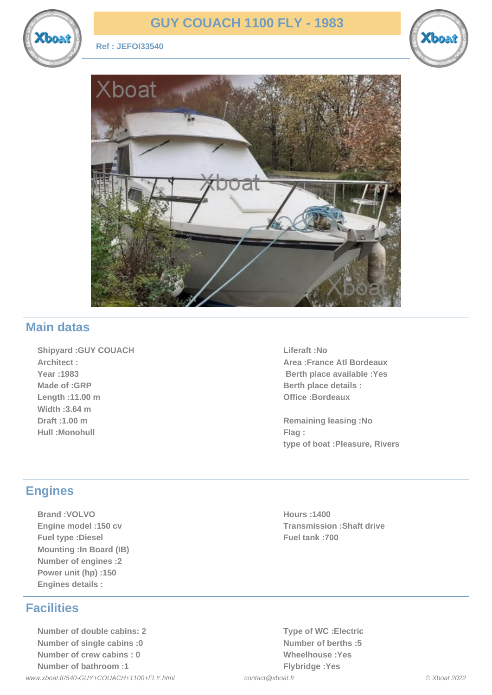

## **GUY COUACH 1100 FLY - 1983**

**Ref : JEFOI33540**





## **Main datas**

**Shipyard :GUY COUACH Architect : Year :1983 Made of :GRP Length :11.00 m Width :3.64 m Draft :1.00 m Hull :Monohull**

**Liferaft :No Area :France Atl Bordeaux Berth place available :Yes Berth place details : Office :Bordeaux**

**Remaining leasing :No Flag : type of boat :Pleasure, Rivers**

## **Engines**

**Brand :VOLVO Engine model :150 cv Fuel type :Diesel Mounting :In Board (IB) Number of engines :2 Power unit (hp) :150 Engines details :**

## **Facilities**

**Number of double cabins: 2 Number of single cabins :0 Number of crew cabins : 0 Number of bathroom :1** www.xboat.fr/540-GUY+COUACH+1100+FLY.html contact@xboat.fr contact@xboat.fr © Xboat 2022

**Hours :1400 Transmission :Shaft drive Fuel tank :700**

**Type of WC :Electric Number of berths :5 Wheelhouse :Yes Flybridge :Yes**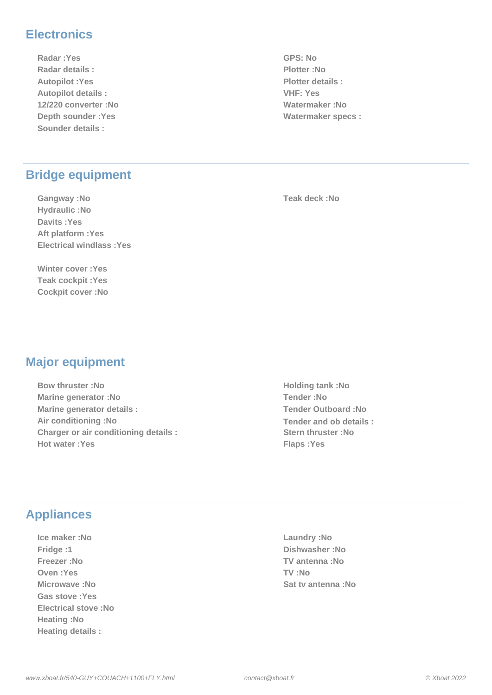#### **Electronics**

**Radar :Yes Radar details : Autopilot :Yes Autopilot details : 12/220 converter :No Depth sounder :Yes Sounder details :**

#### **Bridge equipment**

**Gangway :No Hydraulic :No Davits :Yes Aft platform :Yes Electrical windlass :Yes**

**Winter cover :Yes Teak cockpit :Yes Cockpit cover :No**

**GPS: No Plotter :No Plotter details : VHF: Yes Watermaker :No Watermaker specs :**

**Teak deck :No**

#### **Major equipment**

**Bow thruster :No Marine generator :No Marine generator details : Air conditioning :No Charger or air conditioning details : Hot water :Yes**

**Holding tank :No Tender :No Tender Outboard :No Tender and ob details : Stern thruster :No Flaps :Yes**

#### **Appliances**

**Ice maker :No Fridge :1 Freezer :No Oven :Yes Microwave :No Gas stove :Yes Electrical stove :No Heating :No Heating details :**

**Laundry :No Dishwasher :No TV antenna :No TV :No Sat tv antenna :No**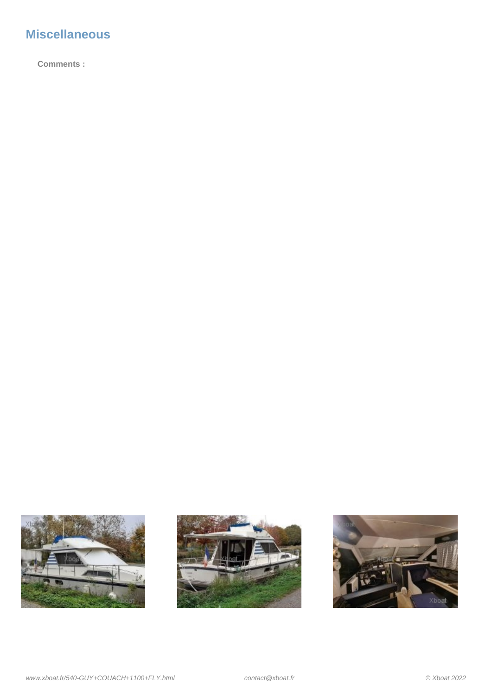# **Miscellaneous**

**Comments :**